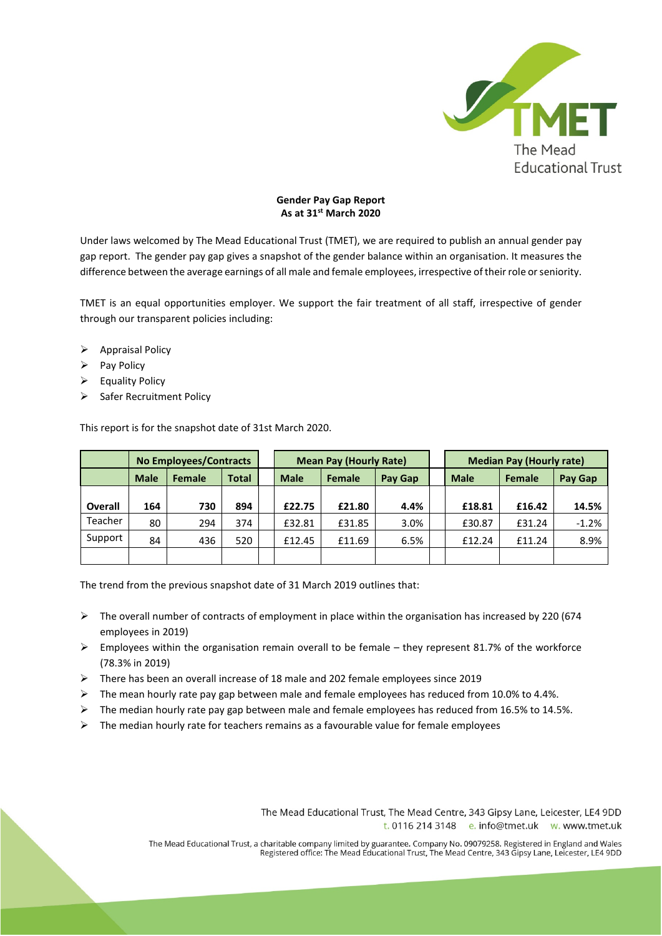

## **Gender Pay Gap Report As at 31st March 2020**

Under laws welcomed by The Mead Educational Trust (TMET), we are required to publish an annual gender pay gap report. The gender pay gap gives a snapshot of the gender balance within an organisation. It measures the difference between the average earnings of all male and female employees, irrespective of their role or seniority.

TMET is an equal opportunities employer. We support the fair treatment of all staff, irrespective of gender through our transparent policies including:

- $\triangleright$  Appraisal Policy
- $\triangleright$  Pay Policy
- $\triangleright$  Equality Policy
- $\triangleright$  Safer Recruitment Policy

This report is for the snapshot date of 31st March 2020.

|         | <b>No Employees/Contracts</b> |        |              |  | <b>Mean Pay (Hourly Rate)</b> |        |         | <b>Median Pay (Hourly rate)</b> |        |         |
|---------|-------------------------------|--------|--------------|--|-------------------------------|--------|---------|---------------------------------|--------|---------|
|         | <b>Male</b>                   | Female | <b>Total</b> |  | <b>Male</b>                   | Female | Pay Gap | <b>Male</b>                     | Female | Pay Gap |
|         |                               |        |              |  |                               |        |         |                                 |        |         |
| Overall | 164                           | 730    | 894          |  | £22.75                        | £21.80 | 4.4%    | £18.81                          | £16.42 | 14.5%   |
| Teacher | 80                            | 294    | 374          |  | £32.81                        | £31.85 | 3.0%    | £30.87                          | £31.24 | $-1.2%$ |
| Support | 84                            | 436    | 520          |  | £12.45                        | £11.69 | 6.5%    | £12.24                          | £11.24 | 8.9%    |
|         |                               |        |              |  |                               |        |         |                                 |        |         |

The trend from the previous snapshot date of 31 March 2019 outlines that:

- $\triangleright$  The overall number of contracts of employment in place within the organisation has increased by 220 (674) employees in 2019)
- $\triangleright$  Employees within the organisation remain overall to be female they represent 81.7% of the workforce (78.3% in 2019)
- There has been an overall increase of 18 male and 202 female employees since 2019
- $\triangleright$  The mean hourly rate pay gap between male and female employees has reduced from 10.0% to 4.4%.
- $\triangleright$  The median hourly rate pay gap between male and female employees has reduced from 16.5% to 14.5%.
- $\triangleright$  The median hourly rate for teachers remains as a favourable value for female employees

The Mead Educational Trust, The Mead Centre, 343 Gipsy Lane, Leicester, LE4 9DD t. 0116 214 3148 e. info@tmet.uk w. www.tmet.uk

The Mead Educational Trust, a charitable company limited by guarantee. Company No. 09079258. Registered in England and Wales<br>Registered office: The Mead Educational Trust, The Mead Centre, 343 Gipsy Lane, Leicester, LE4 9D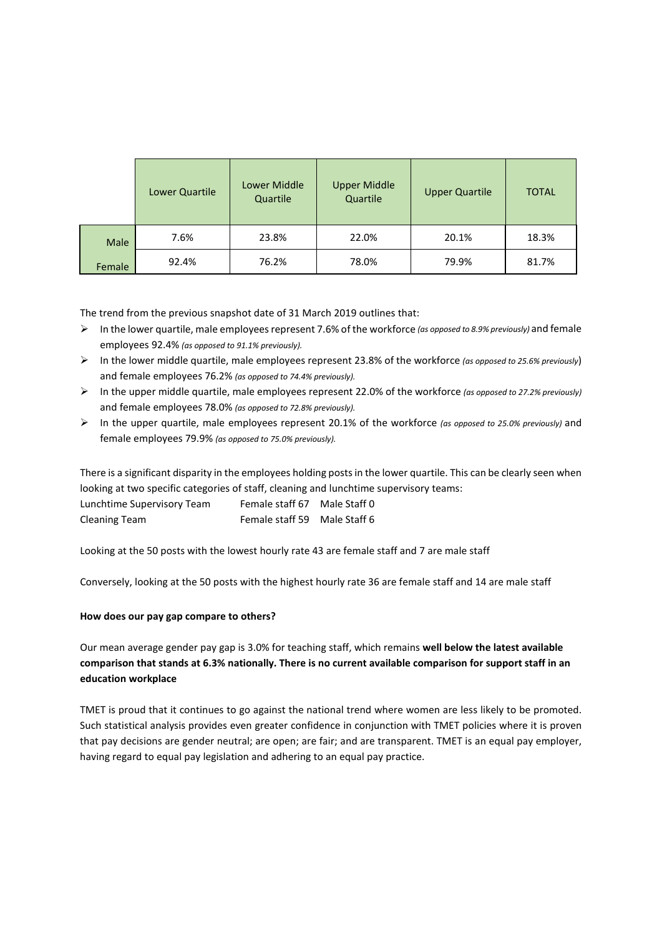|        | Lower Quartile | <b>Lower Middle</b><br>Quartile | <b>Upper Middle</b><br>Quartile | <b>Upper Quartile</b> | <b>TOTAL</b> |
|--------|----------------|---------------------------------|---------------------------------|-----------------------|--------------|
| Male   | 7.6%           | 23.8%                           | 22.0%                           | 20.1%                 | 18.3%        |
| Female | 92.4%          | 76.2%                           | 78.0%                           | 79.9%                 | 81.7%        |

The trend from the previous snapshot date of 31 March 2019 outlines that:

- In the lower quartile, male employees represent 7.6% of the workforce *(as opposed to 8.9% previously)* and female employees 92.4% *(as opposed to 91.1% previously).*
- In the lower middle quartile, male employees represent 23.8% of the workforce *(as opposed to 25.6% previously*) and female employees 76.2% *(as opposed to 74.4% previously).*
- In the upper middle quartile, male employees represent 22.0% of the workforce *(as opposed to 27.2% previously)*  and female employees 78.0% *(as opposed to 72.8% previously).*
- In the upper quartile, male employees represent 20.1% of the workforce *(as opposed to 25.0% previously)* and female employees 79.9% *(as opposed to 75.0% previously).*

There is a significant disparity in the employees holding posts in the lower quartile. This can be clearly seen when looking at two specific categories of staff, cleaning and lunchtime supervisory teams:

| Lunchtime Supervisory Team | Female staff 67              | Male Staff 0 |
|----------------------------|------------------------------|--------------|
| Cleaning Team              | Female staff 59 Male Staff 6 |              |

Looking at the 50 posts with the lowest hourly rate 43 are female staff and 7 are male staff

Conversely, looking at the 50 posts with the highest hourly rate 36 are female staff and 14 are male staff

## **How does our pay gap compare to others?**

Our mean average gender pay gap is 3.0% for teaching staff, which remains **well below the latest available comparison that stands at 6.3% nationally. There is no current available comparison for support staff in an education workplace**

TMET is proud that it continues to go against the national trend where women are less likely to be promoted. Such statistical analysis provides even greater confidence in conjunction with TMET policies where it is proven that pay decisions are gender neutral; are open; are fair; and are transparent. TMET is an equal pay employer, having regard to equal pay legislation and adhering to an equal pay practice.